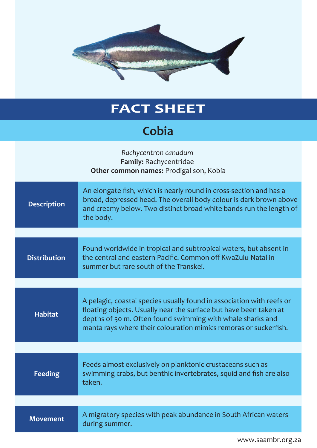

## **FACT SHEET**

## **Cobia**

| Rachycentron canadum<br>Family: Rachycentridae<br>Other common names: Prodigal son, Kobia |                                                                                                                                                                                                                                                                              |  |
|-------------------------------------------------------------------------------------------|------------------------------------------------------------------------------------------------------------------------------------------------------------------------------------------------------------------------------------------------------------------------------|--|
| <b>Description</b>                                                                        | An elongate fish, which is nearly round in cross-section and has a<br>broad, depressed head. The overall body colour is dark brown above<br>and creamy below. Two distinct broad white bands run the length of<br>the body.                                                  |  |
|                                                                                           |                                                                                                                                                                                                                                                                              |  |
| <b>Distribution</b>                                                                       | Found worldwide in tropical and subtropical waters, but absent in<br>the central and eastern Pacific. Common off KwaZulu-Natal in<br>summer but rare south of the Transkei.                                                                                                  |  |
|                                                                                           |                                                                                                                                                                                                                                                                              |  |
| <b>Habitat</b>                                                                            | A pelagic, coastal species usually found in association with reefs or<br>floating objects. Usually near the surface but have been taken at<br>depths of 50 m. Often found swimming with whale sharks and<br>manta rays where their colouration mimics remoras or suckerfish. |  |
|                                                                                           |                                                                                                                                                                                                                                                                              |  |
| <b>Feeding</b>                                                                            | Feeds almost exclusively on planktonic crustaceans such as<br>swimming crabs, but benthic invertebrates, squid and fish are also<br>taken.                                                                                                                                   |  |
|                                                                                           |                                                                                                                                                                                                                                                                              |  |
| <b>Movement</b>                                                                           | A migratory species with peak abundance in South African waters<br>during summer.                                                                                                                                                                                            |  |